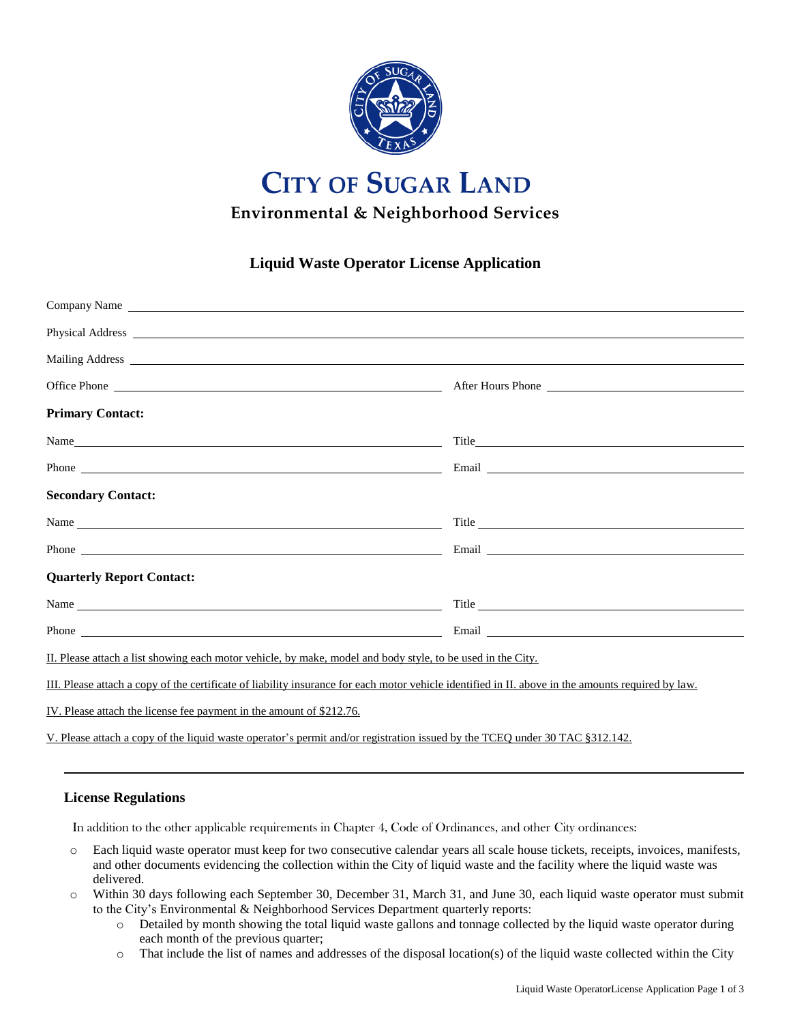

# **CITY OF SUGAR LAND Environmental & Neighborhood Services**

## **Liquid Waste Operator License Application**

| Company Name <u>such as a series of the series</u> of the series of the series of the series of the series of the series of the series of the series of the series of the series of the series of the series of the series of the s |                                                                                                                                                                                                                                      |
|-------------------------------------------------------------------------------------------------------------------------------------------------------------------------------------------------------------------------------------|--------------------------------------------------------------------------------------------------------------------------------------------------------------------------------------------------------------------------------------|
|                                                                                                                                                                                                                                     | Physical Address <u>and a state of the state of</u> the state of the state of the state of the state of the state of the state of the state of the state of the state of the state of the state of the state of the state of the st  |
|                                                                                                                                                                                                                                     | Mailing Address <u>and the contract of the contract of the contract of the contract of the contract of the contract of the contract of the contract of the contract of the contract of the contract of the contract of the contr</u> |
|                                                                                                                                                                                                                                     |                                                                                                                                                                                                                                      |
| <b>Primary Contact:</b>                                                                                                                                                                                                             |                                                                                                                                                                                                                                      |
| Name has a series of the series of the series of the series of the series of the series of the series of the series of the series of the series of the series of the series of the series of the series of the series of the s      |                                                                                                                                                                                                                                      |
|                                                                                                                                                                                                                                     | Phone <u>that the same of the same of the same of the same of the same of the same of the same of the same of the same of the same of the same of the same of the same of the same of the same of the same of the same of the sa</u> |
| <b>Secondary Contact:</b>                                                                                                                                                                                                           |                                                                                                                                                                                                                                      |
|                                                                                                                                                                                                                                     |                                                                                                                                                                                                                                      |
|                                                                                                                                                                                                                                     |                                                                                                                                                                                                                                      |
| <b>Quarterly Report Contact:</b>                                                                                                                                                                                                    |                                                                                                                                                                                                                                      |
|                                                                                                                                                                                                                                     | Title the same state of the state of the state of the state of the state of the state of the state of the state of the state of the state of the state of the state of the state of the state of the state of the state of the       |
|                                                                                                                                                                                                                                     | Phone <u>that the contract of the contract of the contract of the contract of the contract of the contract of the contract of the contract of the contract of the contract of the contract of the contract of the contract of th</u> |
| II. Please attach a list showing each motor vehicle, by make, model and body style, to be used in the City.                                                                                                                         |                                                                                                                                                                                                                                      |
| III. Please attach a copy of the certificate of liability insurance for each motor vehicle identified in II. above in the amounts required by law.                                                                                  |                                                                                                                                                                                                                                      |
| IV. Please attach the license fee payment in the amount of \$212.76.                                                                                                                                                                |                                                                                                                                                                                                                                      |

V. Please attach a copy of the liquid waste operator's permit and/or registration issued by the TCEQ under 30 TAC §312.142.

## **License Regulations**

In addition to the other applicable requirements in Chapter 4, Code of Ordinances, and other City ordinances:

- o Each liquid waste operator must keep for two consecutive calendar years all scale house tickets, receipts, invoices, manifests, and other documents evidencing the collection within the City of liquid waste and the facility where the liquid waste was delivered.
- o Within 30 days following each September 30, December 31, March 31, and June 30, each liquid waste operator must submit to the City's Environmental & Neighborhood Services Department quarterly reports:
	- o Detailed by month showing the total liquid waste gallons and tonnage collected by the liquid waste operator during each month of the previous quarter;
	- o That include the list of names and addresses of the disposal location(s) of the liquid waste collected within the City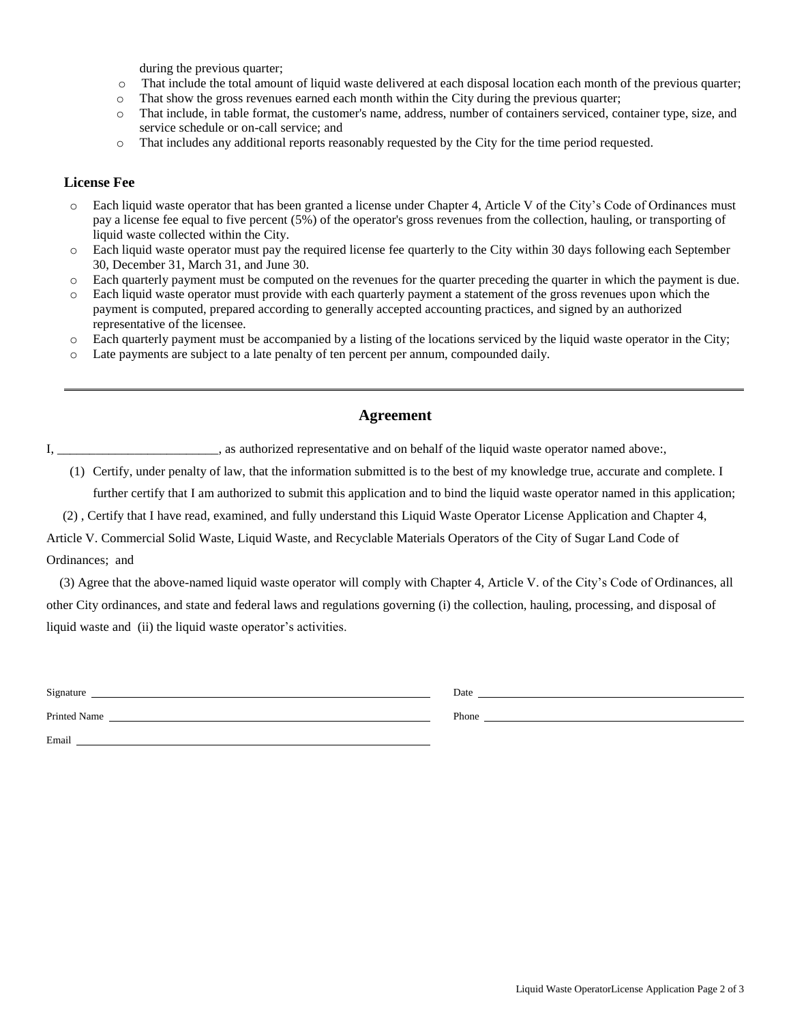during the previous quarter;

- o That include the total amount of liquid waste delivered at each disposal location each month of the previous quarter;
- o That show the gross revenues earned each month within the City during the previous quarter;
- o That include, in table format, the customer's name, address, number of containers serviced, container type, size, and service schedule or on-call service; and
- o That includes any additional reports reasonably requested by the City for the time period requested.

#### **License Fee**

- o Each liquid waste operator that has been granted a license under Chapter 4, Article V of the City's Code of Ordinances must pay a license fee equal to five percent (5%) of the operator's gross revenues from the collection, hauling, or transporting of liquid waste collected within the City.
- o Each liquid waste operator must pay the required license fee quarterly to the City within 30 days following each September 30, December 31, March 31, and June 30.
- o Each quarterly payment must be computed on the revenues for the quarter preceding the quarter in which the payment is due.
- o Each liquid waste operator must provide with each quarterly payment a statement of the gross revenues upon which the payment is computed, prepared according to generally accepted accounting practices, and signed by an authorized representative of the licensee.
- o Each quarterly payment must be accompanied by a listing of the locations serviced by the liquid waste operator in the City;
- o Late payments are subject to a late penalty of ten percent per annum, compounded daily.

## **Agreement**

I, \_\_\_\_\_\_\_\_\_\_\_\_\_\_\_\_\_\_\_\_\_\_\_, as authorized representative and on behalf of the liquid waste operator named above:,

- (1) Certify, under penalty of law, that the information submitted is to the best of my knowledge true, accurate and complete. I further certify that I am authorized to submit this application and to bind the liquid waste operator named in this application;
- (2) , Certify that I have read, examined, and fully understand this Liquid Waste Operator License Application and Chapter 4,

Article V. Commercial Solid Waste, Liquid Waste, and Recyclable Materials Operators of the City of Sugar Land Code of Ordinances; and

 (3) Agree that the above-named liquid waste operator will comply with Chapter 4, Article V. of the City's Code of Ordinances, all other City ordinances, and state and federal laws and regulations governing (i) the collection, hauling, processing, and disposal of liquid waste and (ii) the liquid waste operator's activities.

| Signature    | Date  |
|--------------|-------|
| Printed Name | Phone |
| Email        |       |